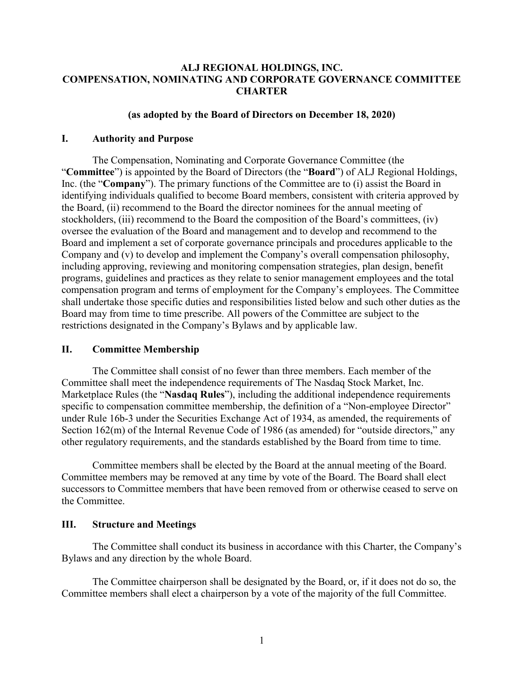### **ALJ REGIONAL HOLDINGS, INC. COMPENSATION, NOMINATING AND CORPORATE GOVERNANCE COMMITTEE CHARTER**

#### **(as adopted by the Board of Directors on December 18, 2020)**

#### **I. Authority and Purpose**

The Compensation, Nominating and Corporate Governance Committee (the "**Committee**") is appointed by the Board of Directors (the "**Board**") of ALJ Regional Holdings, Inc. (the "**Company**"). The primary functions of the Committee are to (i) assist the Board in identifying individuals qualified to become Board members, consistent with criteria approved by the Board, (ii) recommend to the Board the director nominees for the annual meeting of stockholders, (iii) recommend to the Board the composition of the Board's committees, (iv) oversee the evaluation of the Board and management and to develop and recommend to the Board and implement a set of corporate governance principals and procedures applicable to the Company and (v) to develop and implement the Company's overall compensation philosophy, including approving, reviewing and monitoring compensation strategies, plan design, benefit programs, guidelines and practices as they relate to senior management employees and the total compensation program and terms of employment for the Company's employees. The Committee shall undertake those specific duties and responsibilities listed below and such other duties as the Board may from time to time prescribe. All powers of the Committee are subject to the restrictions designated in the Company's Bylaws and by applicable law.

#### **II. Committee Membership**

The Committee shall consist of no fewer than three members. Each member of the Committee shall meet the independence requirements of The Nasdaq Stock Market, Inc. Marketplace Rules (the "**Nasdaq Rules**"), including the additional independence requirements specific to compensation committee membership, the definition of a "Non-employee Director" under Rule 16b-3 under the Securities Exchange Act of 1934, as amended, the requirements of Section 162(m) of the Internal Revenue Code of 1986 (as amended) for "outside directors," any other regulatory requirements, and the standards established by the Board from time to time.

Committee members shall be elected by the Board at the annual meeting of the Board. Committee members may be removed at any time by vote of the Board. The Board shall elect successors to Committee members that have been removed from or otherwise ceased to serve on the Committee.

#### **III. Structure and Meetings**

The Committee shall conduct its business in accordance with this Charter, the Company's Bylaws and any direction by the whole Board.

The Committee chairperson shall be designated by the Board, or, if it does not do so, the Committee members shall elect a chairperson by a vote of the majority of the full Committee.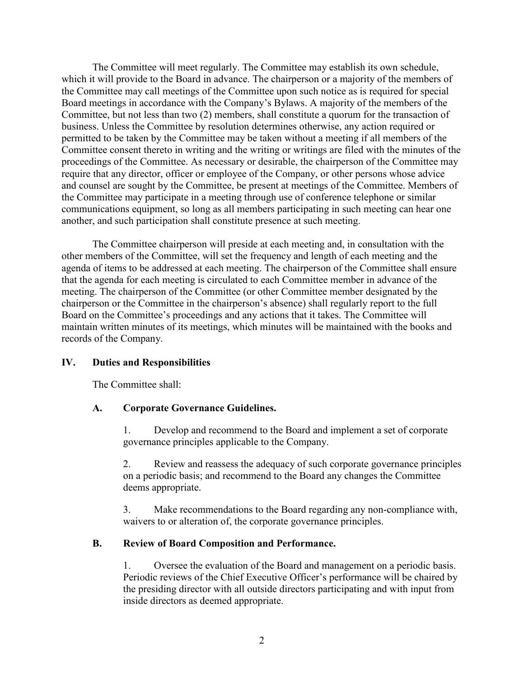The Committee will meet regularly. The Committee may establish its own schedule, which it will provide to the Board in advance. The chairperson or a majority of the members of the Committee may call meetings of the Committee upon such notice as is required for special Board meetings in accordance with the Company's Bylaws. A majority of the members of the Committee, but not less than two (2) members, shall constitute a quorum for the transaction of business. Unless the Committee by resolution determines otherwise, any action required or permitted to be taken by the Committee may be taken without a meeting if all members of the Committee consent thereto in writing and the writing or writings are filed with the minutes of the proceedings of the Committee. As necessary or desirable, the chairperson of the Committee may require that any director, officer or employee of the Company, or other persons whose advice and counsel are sought by the Committee, be present at meetings of the Committee. Members of the Committee may participate in a meeting through use of conference telephone or similar communications equipment, so long as all members participating in such meeting can hear one another, and such participation shall constitute presence at such meeting.

The Committee chairperson will preside at each meeting and, in consultation with the other members of the Committee, will set the frequency and length of each meeting and the agenda of items to be addressed at each meeting. The chairperson of the Committee shall ensure that the agenda for each meeting is circulated to each Committee member in advance of the meeting. The chairperson of the Committee (or other Committee member designated by the chairperson or the Committee in the chairperson's absence) shall regularly report to the full Board on the Committee's proceedings and any actions that it takes. The Committee will maintain written minutes of its meetings, which minutes will be maintained with the books and records of the Company.

### **IV. Duties and Responsibilities**

The Committee shall:

### **A. Corporate Governance Guidelines.**

1. Develop and recommend to the Board and implement a set of corporate governance principles applicable to the Company.

2. Review and reassess the adequacy of such corporate governance principles on a periodic basis; and recommend to the Board any changes the Committee deems appropriate.

3. Make recommendations to the Board regarding any non-compliance with, waivers to or alteration of, the corporate governance principles.

### **B. Review of Board Composition and Performance.**

1. Oversee the evaluation of the Board and management on a periodic basis. Periodic reviews of the Chief Executive Officer's performance will be chaired by the presiding director with all outside directors participating and with input from inside directors as deemed appropriate.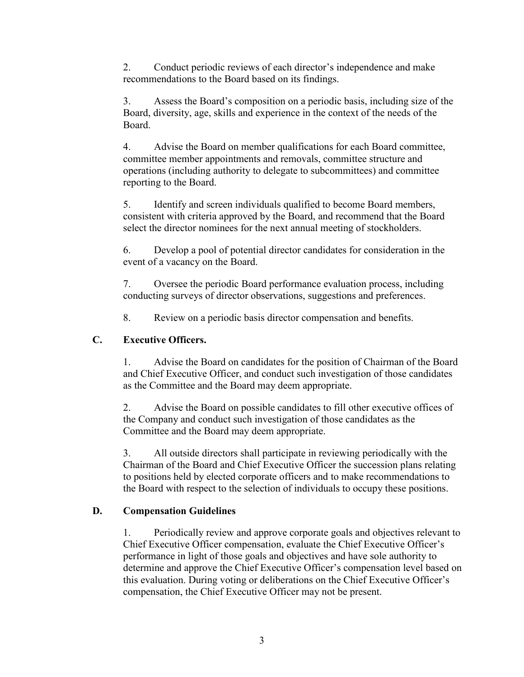2. Conduct periodic reviews of each director's independence and make recommendations to the Board based on its findings.

3. Assess the Board's composition on a periodic basis, including size of the Board, diversity, age, skills and experience in the context of the needs of the Board.

4. Advise the Board on member qualifications for each Board committee, committee member appointments and removals, committee structure and operations (including authority to delegate to subcommittees) and committee reporting to the Board.

5. Identify and screen individuals qualified to become Board members, consistent with criteria approved by the Board, and recommend that the Board select the director nominees for the next annual meeting of stockholders.

6. Develop a pool of potential director candidates for consideration in the event of a vacancy on the Board.

7. Oversee the periodic Board performance evaluation process, including conducting surveys of director observations, suggestions and preferences.

8. Review on a periodic basis director compensation and benefits.

# **C. Executive Officers.**

1. Advise the Board on candidates for the position of Chairman of the Board and Chief Executive Officer, and conduct such investigation of those candidates as the Committee and the Board may deem appropriate.

2. Advise the Board on possible candidates to fill other executive offices of the Company and conduct such investigation of those candidates as the Committee and the Board may deem appropriate.

3. All outside directors shall participate in reviewing periodically with the Chairman of the Board and Chief Executive Officer the succession plans relating to positions held by elected corporate officers and to make recommendations to the Board with respect to the selection of individuals to occupy these positions.

## **D. Compensation Guidelines**

1. Periodically review and approve corporate goals and objectives relevant to Chief Executive Officer compensation, evaluate the Chief Executive Officer's performance in light of those goals and objectives and have sole authority to determine and approve the Chief Executive Officer's compensation level based on this evaluation. During voting or deliberations on the Chief Executive Officer's compensation, the Chief Executive Officer may not be present.